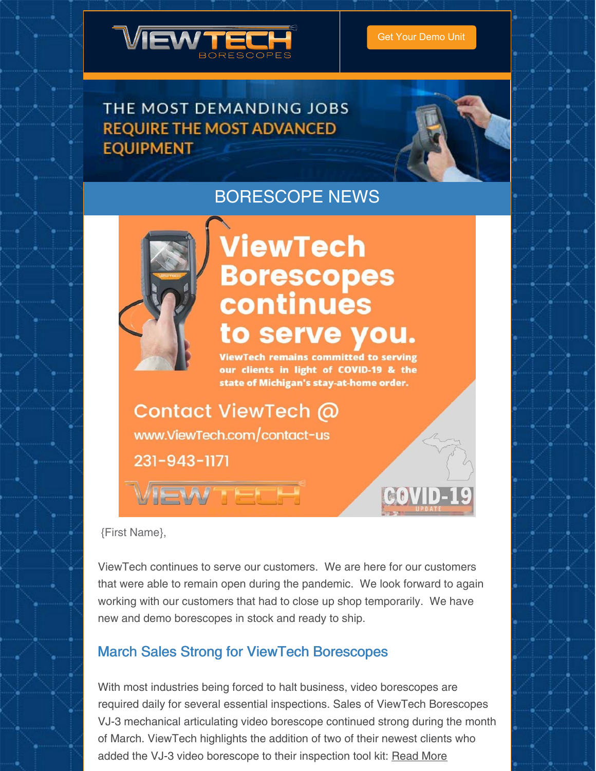

## THE MOST DEMANDING JOBS **REQUIRE THE MOST ADVANCED EQUIPMENT**



## BORESCOPE NEWS



# ViewTech **Borescopes** continues to serve you.

**ViewTech remains committed to serving** our clients in light of COVID-19 & the state of Michigan's stay-at-home order.

**Contact ViewTech @** www.ViewTech.com/contact-us

231-943-1171



COVID

{First Name},

ViewTech continues to serve our customers. We are here for our customers that were able to remain open during the pandemic. We look forward to again working with our customers that had to close up shop temporarily. We have new and demo borescopes in stock and ready to ship.

### March Sales Strong for ViewTech Borescopes

With most industries being forced to halt business, video borescopes are required daily for several essential inspections. Sales of ViewTech Borescopes VJ-3 mechanical articulating video borescope continued strong during the month of March. ViewTech highlights the addition of two of their newest clients who added the VJ-3 video borescope to their inspection tool kit: [Read](https://www.viewtech.com/viewtech-borescopes-march-sales-and-new-vj-3-video-borescope-clients/?utm_source=newsletter&utm_medium=email&utm_campaign=newsletter0420) More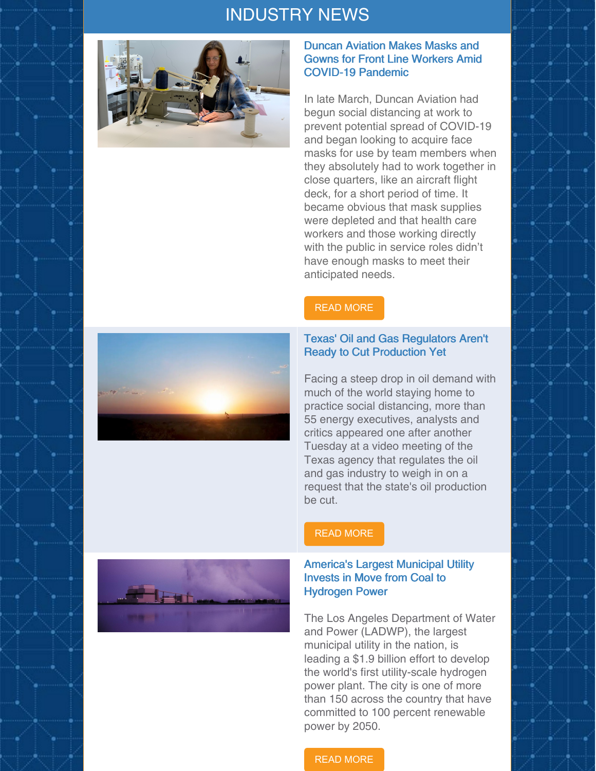## INDUSTRY NEWS



#### Duncan Aviation Makes Masks and Gowns for Front Line Workers Amid COVID-19 Pandemic

In late March, Duncan Aviation had begun social distancing at work to prevent potential spread of COVID-19 and began looking to acquire face masks for use by team members when they absolutely had to work together in close quarters, like an aircraft flight deck, for a short period of time. It became obvious that mask supplies were depleted and that health care workers and those working directly with the public in service roles didn't have enough masks to meet their anticipated needs.

#### READ [MORE](https://www.avm-mag.com/duncan-aviation-makes-masks-and-gowns-for-front-line-workers-amid-covid-19-pandemic/)

#### Texas' Oil and Gas Regulators Aren't Ready to Cut Production Yet

Facing a steep drop in oil demand with much of the world staying home to practice social distancing, more than 55 energy executives, analysts and critics appeared one after another Tuesday at a video meeting of the Texas agency that regulates the oil and gas industry to weigh in on a request that the state's oil production be cut.

#### READ [MORE](https://news4sanantonio.com/news/local/texas-oil-and-gas-regulators-arent-ready-to-cut-production-yet)

#### America's Largest Municipal Utility Invests in Move from Coal to Hydrogen Power

The Los Angeles Department of Water and Power (LADWP), the largest municipal utility in the nation, is leading a \$1.9 billion effort to develop the world's first utility-scale hydrogen power plant. The city is one of more than 150 across the country that have committed to 100 percent renewable power by 2050.

#### READ [MORE](https://www.governing.com/Americas-Largest-Municipal-Utility-Invests-from-Coal-to-Hydrogen-Power.html)